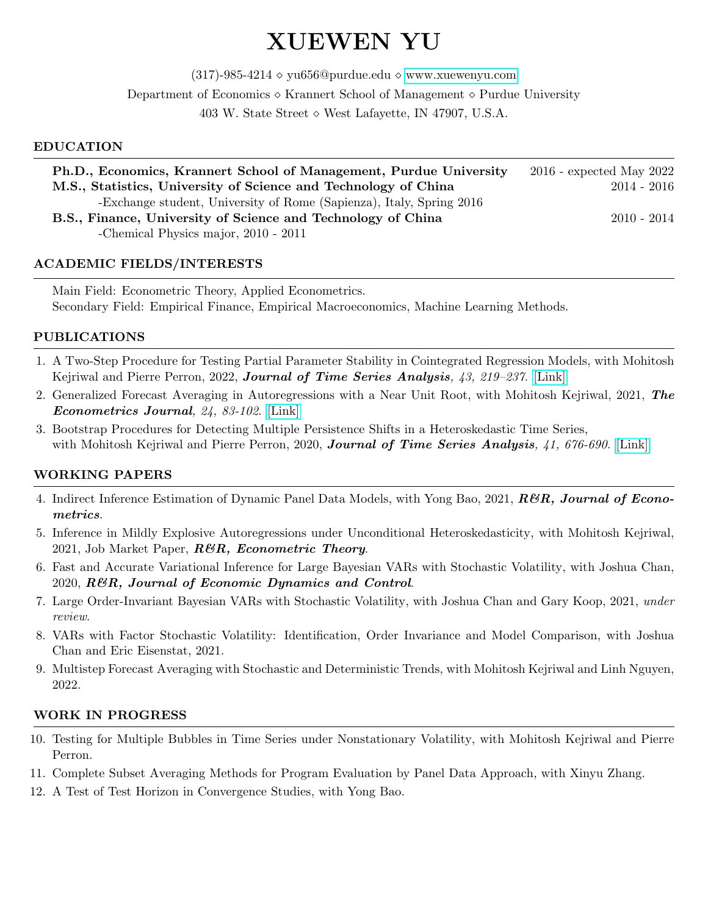# XUEWEN YU

(317)-985-4214  $\diamond$  yu656@purdue.edu  $\diamond$  [www.xuewenyu.com](https://xuewenyu.weebly.com/)

Department of Economics ◇ Krannert School of Management ◇ Purdue University

403 W. State Street  $\diamond$  West Lafayette, IN 47907, U.S.A.

## EDUCATION

| Ph.D., Economics, Krannert School of Management, Purdue University   | $2016$ - expected May $2022$ |
|----------------------------------------------------------------------|------------------------------|
| M.S., Statistics, University of Science and Technology of China      | $2014 - 2016$                |
| -Exchange student, University of Rome (Sapienza), Italy, Spring 2016 |                              |
| B.S., Finance, University of Science and Technology of China         | $2010 - 2014$                |
| -Chemical Physics major, 2010 - 2011                                 |                              |
|                                                                      |                              |

# ACADEMIC FIELDS/INTERESTS

Main Field: Econometric Theory, Applied Econometrics. Secondary Field: Empirical Finance, Empirical Macroeconomics, Machine Learning Methods.

## PUBLICATIONS

- 1. A Two-Step Procedure for Testing Partial Parameter Stability in Cointegrated Regression Models, with Mohitosh Kejriwal and Pierre Perron, 2022, Journal of Time Series Analysis,  $43$ ,  $219-237$ . [\[Link\]](https://onlinelibrary.wiley.com/doi/full/10.1111/jtsa.12609)
- 2. Generalized Forecast Averaging in Autoregressions with a Near Unit Root, with Mohitosh Kejriwal, 2021, The Econometrics Journal, 24, 83-102. [\[Link\]](https://academic.oup.com/ectj/article-abstract/24/1/83/5814315?redirectedFrom=fulltext)
- 3. Bootstrap Procedures for Detecting Multiple Persistence Shifts in a Heteroskedastic Time Series, with Mohitosh Kejriwal and Pierre Perron, 2020, Journal of Time Series Analysis, 41, 676-690. [\[Link\]](https://onlinelibrary.wiley.com/doi/full/10.1111/jtsa.12528)

## WORKING PAPERS

- 4. Indirect Inference Estimation of Dynamic Panel Data Models, with Yong Bao, 2021, **R&R**, Journal of Econometrics.
- 5. Inference in Mildly Explosive Autoregressions under Unconditional Heteroskedasticity, with Mohitosh Kejriwal, 2021, Job Market Paper,  $R\mathcal{B}R$ , Econometric Theory.
- 6. Fast and Accurate Variational Inference for Large Bayesian VARs with Stochastic Volatility, with Joshua Chan, 2020, R&R, Journal of Economic Dynamics and Control.
- 7. Large Order-Invariant Bayesian VARs with Stochastic Volatility, with Joshua Chan and Gary Koop, 2021, under review.
- 8. VARs with Factor Stochastic Volatility: Identification, Order Invariance and Model Comparison, with Joshua Chan and Eric Eisenstat, 2021.
- 9. Multistep Forecast Averaging with Stochastic and Deterministic Trends, with Mohitosh Kejriwal and Linh Nguyen, 2022.

## WORK IN PROGRESS

- 10. Testing for Multiple Bubbles in Time Series under Nonstationary Volatility, with Mohitosh Kejriwal and Pierre Perron.
- 11. Complete Subset Averaging Methods for Program Evaluation by Panel Data Approach, with Xinyu Zhang.
- 12. A Test of Test Horizon in Convergence Studies, with Yong Bao.